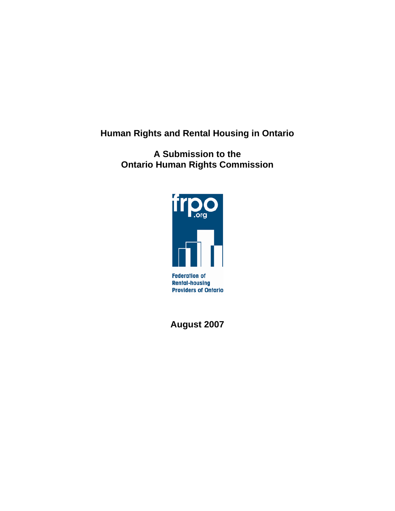**Human Rights and Rental Housing in Ontario** 

**A Submission to the Ontario Human Rights Commission** 



**August 2007**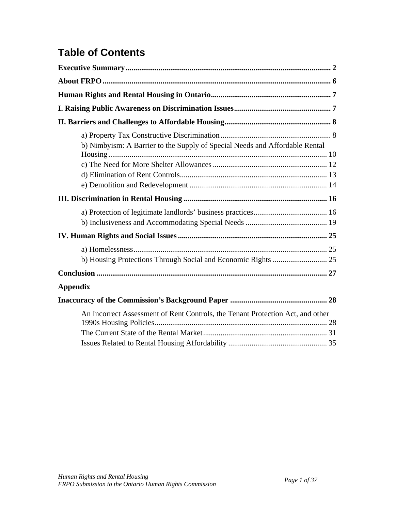# **Table of Contents**

| b) Nimbyism: A Barrier to the Supply of Special Needs and Affordable Rental    |  |
|--------------------------------------------------------------------------------|--|
|                                                                                |  |
|                                                                                |  |
|                                                                                |  |
| <b>Appendix</b>                                                                |  |
|                                                                                |  |
| An Incorrect Assessment of Rent Controls, the Tenant Protection Act, and other |  |
|                                                                                |  |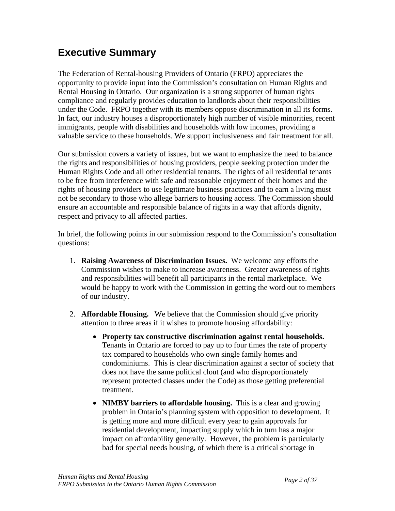# **Executive Summary**

The Federation of Rental-housing Providers of Ontario (FRPO) appreciates the opportunity to provide input into the Commission's consultation on Human Rights and Rental Housing in Ontario. Our organization is a strong supporter of human rights compliance and regularly provides education to landlords about their responsibilities under the Code. FRPO together with its members oppose discrimination in all its forms. In fact, our industry houses a disproportionately high number of visible minorities, recent immigrants, people with disabilities and households with low incomes, providing a valuable service to these households. We support inclusiveness and fair treatment for all.

Our submission covers a variety of issues, but we want to emphasize the need to balance the rights and responsibilities of housing providers, people seeking protection under the Human Rights Code and all other residential tenants. The rights of all residential tenants to be free from interference with safe and reasonable enjoyment of their homes and the rights of housing providers to use legitimate business practices and to earn a living must not be secondary to those who allege barriers to housing access. The Commission should ensure an accountable and responsible balance of rights in a way that affords dignity, respect and privacy to all affected parties.

In brief, the following points in our submission respond to the Commission's consultation questions:

- 1. **Raising Awareness of Discrimination Issues.** We welcome any efforts the Commission wishes to make to increase awareness. Greater awareness of rights and responsibilities will benefit all participants in the rental marketplace. We would be happy to work with the Commission in getting the word out to members of our industry.
- 2. **Affordable Housing.** We believe that the Commission should give priority attention to three areas if it wishes to promote housing affordability:
	- **Property tax constructive discrimination against rental households.** Tenants in Ontario are forced to pay up to four times the rate of property tax compared to households who own single family homes and condominiums. This is clear discrimination against a sector of society that does not have the same political clout (and who disproportionately represent protected classes under the Code) as those getting preferential treatment.
	- **NIMBY barriers to affordable housing.** This is a clear and growing problem in Ontario's planning system with opposition to development. It is getting more and more difficult every year to gain approvals for residential development, impacting supply which in turn has a major impact on affordability generally. However, the problem is particularly bad for special needs housing, of which there is a critical shortage in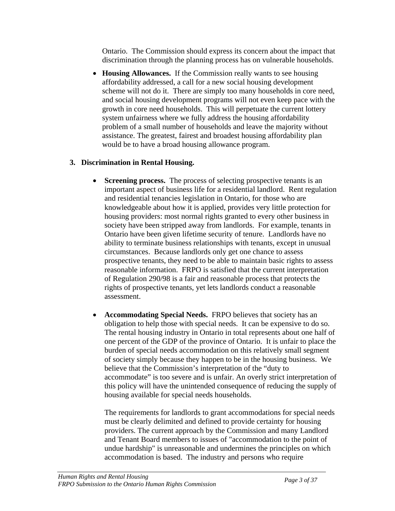Ontario. The Commission should express its concern about the impact that discrimination through the planning process has on vulnerable households.

• **Housing Allowances.** If the Commission really wants to see housing affordability addressed, a call for a new social housing development scheme will not do it. There are simply too many households in core need, and social housing development programs will not even keep pace with the growth in core need households. This will perpetuate the current lottery system unfairness where we fully address the housing affordability problem of a small number of households and leave the majority without assistance. The greatest, fairest and broadest housing affordability plan would be to have a broad housing allowance program.

#### **3. Discrimination in Rental Housing.**

- **Screening process.** The process of selecting prospective tenants is an important aspect of business life for a residential landlord. Rent regulation and residential tenancies legislation in Ontario, for those who are knowledgeable about how it is applied, provides very little protection for housing providers: most normal rights granted to every other business in society have been stripped away from landlords. For example, tenants in Ontario have been given lifetime security of tenure. Landlords have no ability to terminate business relationships with tenants, except in unusual circumstances. Because landlords only get one chance to assess prospective tenants, they need to be able to maintain basic rights to assess reasonable information. FRPO is satisfied that the current interpretation of Regulation 290/98 is a fair and reasonable process that protects the rights of prospective tenants, yet lets landlords conduct a reasonable assessment.
- **Accommodating Special Needs.** FRPO believes that society has an obligation to help those with special needs. It can be expensive to do so. The rental housing industry in Ontario in total represents about one half of one percent of the GDP of the province of Ontario. It is unfair to place the burden of special needs accommodation on this relatively small segment of society simply because they happen to be in the housing business. We believe that the Commission's interpretation of the "duty to accommodate" is too severe and is unfair. An overly strict interpretation of this policy will have the unintended consequence of reducing the supply of housing available for special needs households.

The requirements for landlords to grant accommodations for special needs must be clearly delimited and defined to provide certainty for housing providers. The current approach by the Commission and many Landlord and Tenant Board members to issues of "accommodation to the point of undue hardship" is unreasonable and undermines the principles on which accommodation is based. The industry and persons who require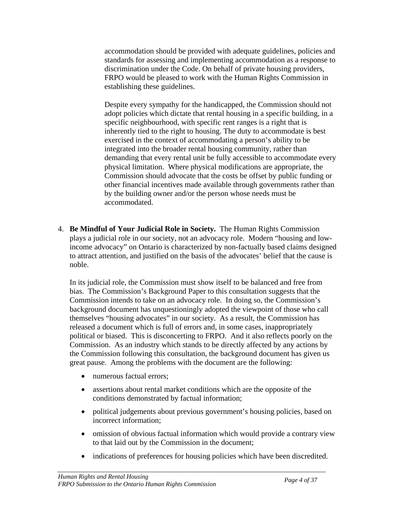accommodation should be provided with adequate guidelines, policies and standards for assessing and implementing accommodation as a response to discrimination under the Code. On behalf of private housing providers, FRPO would be pleased to work with the Human Rights Commission in establishing these guidelines.

Despite every sympathy for the handicapped, the Commission should not adopt policies which dictate that rental housing in a specific building, in a specific neighbourhood, with specific rent ranges is a right that is inherently tied to the right to housing. The duty to accommodate is best exercised in the context of accommodating a person's ability to be integrated into the broader rental housing community, rather than demanding that every rental unit be fully accessible to accommodate every physical limitation. Where physical modifications are appropriate, the Commission should advocate that the costs be offset by public funding or other financial incentives made available through governments rather than by the building owner and/or the person whose needs must be accommodated.

4. **Be Mindful of Your Judicial Role in Society.** The Human Rights Commission plays a judicial role in our society, not an advocacy role. Modern "housing and lowincome advocacy" on Ontario is characterized by non-factually based claims designed to attract attention, and justified on the basis of the advocates' belief that the cause is noble.

In its judicial role, the Commission must show itself to be balanced and free from bias. The Commission's Background Paper to this consultation suggests that the Commission intends to take on an advocacy role. In doing so, the Commission's background document has unquestioningly adopted the viewpoint of those who call themselves "housing advocates" in our society. As a result, the Commission has released a document which is full of errors and, in some cases, inappropriately political or biased. This is disconcerting to FRPO. And it also reflects poorly on the Commission. As an industry which stands to be directly affected by any actions by the Commission following this consultation, the background document has given us great pause. Among the problems with the document are the following:

- numerous factual errors:
- assertions about rental market conditions which are the opposite of the conditions demonstrated by factual information;
- political judgements about previous government's housing policies, based on incorrect information;
- omission of obvious factual information which would provide a contrary view to that laid out by the Commission in the document;
- indications of preferences for housing policies which have been discredited.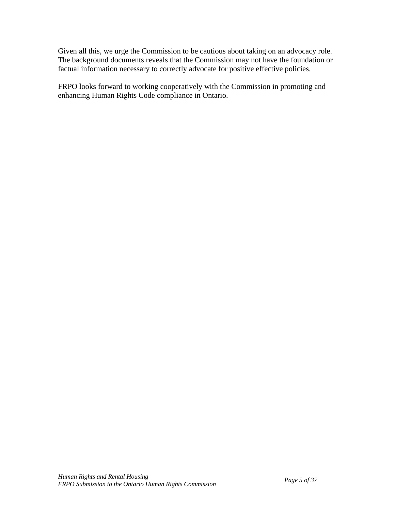Given all this, we urge the Commission to be cautious about taking on an advocacy role. The background documents reveals that the Commission may not have the foundation or factual information necessary to correctly advocate for positive effective policies.

FRPO looks forward to working cooperatively with the Commission in promoting and enhancing Human Rights Code compliance in Ontario.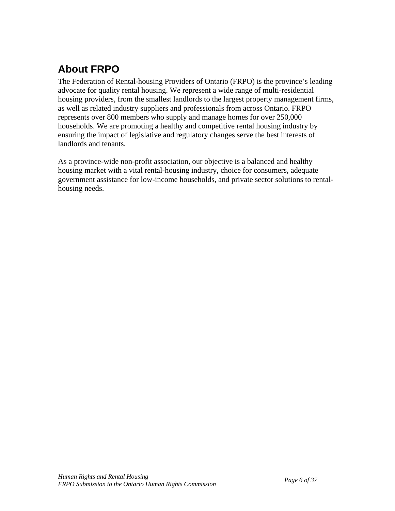# **About FRPO**

The Federation of Rental-housing Providers of Ontario (FRPO) is the province's leading advocate for quality rental housing. We represent a wide range of multi-residential housing providers, from the smallest landlords to the largest property management firms, as well as related industry suppliers and professionals from across Ontario. FRPO represents over 800 members who supply and manage homes for over 250,000 households. We are promoting a healthy and competitive rental housing industry by ensuring the impact of legislative and regulatory changes serve the best interests of landlords and tenants.

As a province-wide non-profit association, our objective is a balanced and healthy housing market with a vital rental-housing industry, choice for consumers, adequate government assistance for low-income households, and private sector solutions to rentalhousing needs.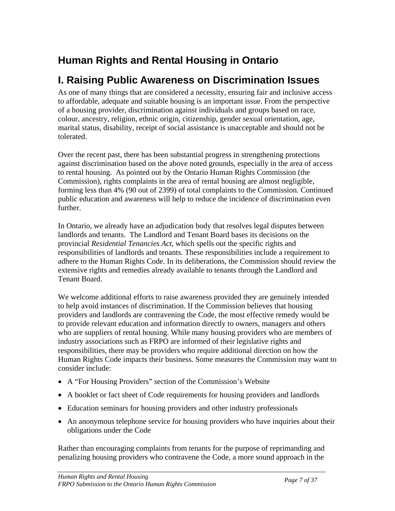# **Human Rights and Rental Housing in Ontario**

# **I. Raising Public Awareness on Discrimination Issues**

As one of many things that are considered a necessity, ensuring fair and inclusive access to affordable, adequate and suitable housing is an important issue. From the perspective of a housing provider, discrimination against individuals and groups based on race, colour, ancestry, religion, ethnic origin, citizenship, gender sexual orientation, age, marital status, disability, receipt of social assistance is unacceptable and should not be tolerated.

Over the recent past, there has been substantial progress in strengthening protections against discrimination based on the above noted grounds, especially in the area of access to rental housing. As pointed out by the Ontario Human Rights Commission (the Commission), rights complaints in the area of rental housing are almost negligible, forming less than 4% (90 out of 2399) of total complaints to the Commission. Continued public education and awareness will help to reduce the incidence of discrimination even further.

In Ontario, we already have an adjudication body that resolves legal disputes between landlords and tenants. The Landlord and Tenant Board bases its decisions on the provincial *Residential Tenancies Act*, which spells out the specific rights and responsibilities of landlords and tenants. These responsibilities include a requirement to adhere to the Human Rights Code. In its deliberations, the Commission should review the extensive rights and remedies already available to tenants through the Landlord and Tenant Board.

We welcome additional efforts to raise awareness provided they are genuinely intended to help avoid instances of discrimination. If the Commission believes that housing providers and landlords are contravening the Code, the most effective remedy would be to provide relevant education and information directly to owners, managers and others who are suppliers of rental housing. While many housing providers who are members of industry associations such as FRPO are informed of their legislative rights and responsibilities, there may be providers who require additional direction on how the Human Rights Code impacts their business. Some measures the Commission may want to consider include:

- A "For Housing Providers" section of the Commission's Website
- A booklet or fact sheet of Code requirements for housing providers and landlords
- Education seminars for housing providers and other industry professionals
- An anonymous telephone service for housing providers who have inquiries about their obligations under the Code

Rather than encouraging complaints from tenants for the purpose of reprimanding and penalizing housing providers who contravene the Code, a more sound approach in the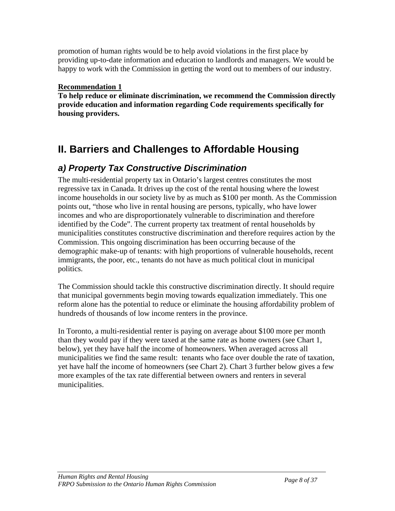promotion of human rights would be to help avoid violations in the first place by providing up-to-date information and education to landlords and managers. We would be happy to work with the Commission in getting the word out to members of our industry.

#### **Recommendation 1**

**To help reduce or eliminate discrimination, we recommend the Commission directly provide education and information regarding Code requirements specifically for housing providers.** 

# **II. Barriers and Challenges to Affordable Housing**

## *a) Property Tax Constructive Discrimination*

The multi-residential property tax in Ontario's largest centres constitutes the most regressive tax in Canada. It drives up the cost of the rental housing where the lowest income households in our society live by as much as \$100 per month. As the Commission points out, "those who live in rental housing are persons, typically, who have lower incomes and who are disproportionately vulnerable to discrimination and therefore identified by the Code". The current property tax treatment of rental households by municipalities constitutes constructive discrimination and therefore requires action by the Commission. This ongoing discrimination has been occurring because of the demographic make-up of tenants: with high proportions of vulnerable households, recent immigrants, the poor, etc., tenants do not have as much political clout in municipal politics.

The Commission should tackle this constructive discrimination directly. It should require that municipal governments begin moving towards equalization immediately. This one reform alone has the potential to reduce or eliminate the housing affordability problem of hundreds of thousands of low income renters in the province.

In Toronto, a multi-residential renter is paying on average about \$100 more per month than they would pay if they were taxed at the same rate as home owners (see Chart 1, below), yet they have half the income of homeowners. When averaged across all municipalities we find the same result: tenants who face over double the rate of taxation, yet have half the income of homeowners (see Chart 2). Chart 3 further below gives a few more examples of the tax rate differential between owners and renters in several municipalities.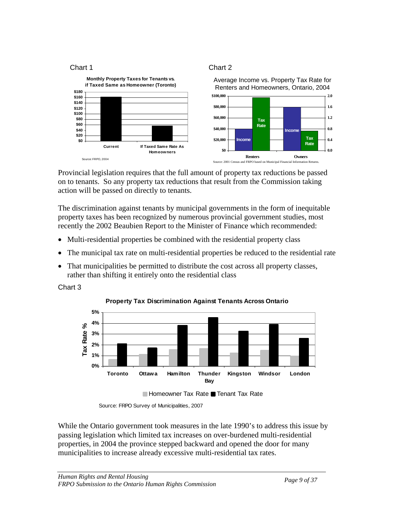

Provincial legislation requires that the full amount of property tax reductions be passed on to tenants. So any property tax reductions that result from the Commission taking action will be passed on directly to tenants.

The discrimination against tenants by municipal governments in the form of inequitable property taxes has been recognized by numerous provincial government studies, most recently the 2002 Beaubien Report to the Minister of Finance which recommended:

- Multi-residential properties be combined with the residential property class
- The municipal tax rate on multi-residential properties be reduced to the residential rate
- That municipalities be permitted to distribute the cost across all property classes, rather than shifting it entirely onto the residential class

Chart 3



**Property Tax Discrimination Against Tenants Across Ontario**

While the Ontario government took measures in the late 1990's to address this issue by passing legislation which limited tax increases on over-burdened multi-residential properties, in 2004 the province stepped backward and opened the door for many municipalities to increase already excessive multi-residential tax rates.

Source: FRPO Survey of Municipalities, 2007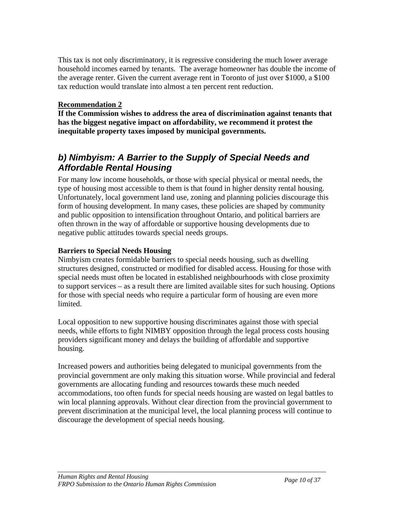This tax is not only discriminatory, it is regressive considering the much lower average household incomes earned by tenants. The average homeowner has double the income of the average renter. Given the current average rent in Toronto of just over \$1000, a \$100 tax reduction would translate into almost a ten percent rent reduction.

#### **Recommendation 2**

**If the Commission wishes to address the area of discrimination against tenants that has the biggest negative impact on affordability, we recommend it protest the inequitable property taxes imposed by municipal governments.** 

## *b) Nimbyism: A Barrier to the Supply of Special Needs and Affordable Rental Housing*

For many low income households, or those with special physical or mental needs, the type of housing most accessible to them is that found in higher density rental housing. Unfortunately, local government land use, zoning and planning policies discourage this form of housing development. In many cases, these policies are shaped by community and public opposition to intensification throughout Ontario, and political barriers are often thrown in the way of affordable or supportive housing developments due to negative public attitudes towards special needs groups.

### **Barriers to Special Needs Housing**

Nimbyism creates formidable barriers to special needs housing, such as dwelling structures designed, constructed or modified for disabled access. Housing for those with special needs must often be located in established neighbourhoods with close proximity to support services – as a result there are limited available sites for such housing. Options for those with special needs who require a particular form of housing are even more limited.

Local opposition to new supportive housing discriminates against those with special needs, while efforts to fight NIMBY opposition through the legal process costs housing providers significant money and delays the building of affordable and supportive housing.

Increased powers and authorities being delegated to municipal governments from the provincial government are only making this situation worse. While provincial and federal governments are allocating funding and resources towards these much needed accommodations, too often funds for special needs housing are wasted on legal battles to win local planning approvals. Without clear direction from the provincial government to prevent discrimination at the municipal level, the local planning process will continue to discourage the development of special needs housing.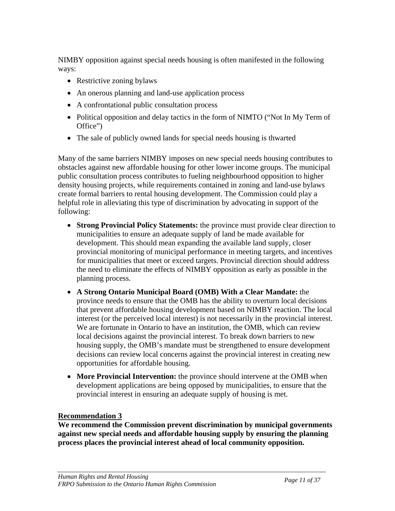NIMBY opposition against special needs housing is often manifested in the following ways:

- Restrictive zoning bylaws
- An onerous planning and land-use application process
- A confrontational public consultation process
- Political opposition and delay tactics in the form of NIMTO ("Not In My Term of Office")
- The sale of publicly owned lands for special needs housing is thwarted

Many of the same barriers NIMBY imposes on new special needs housing contributes to obstacles against new affordable housing for other lower income groups. The municipal public consultation process contributes to fueling neighbourhood opposition to higher density housing projects, while requirements contained in zoning and land-use bylaws create formal barriers to rental housing development. The Commission could play a helpful role in alleviating this type of discrimination by advocating in support of the following:

- **Strong Provincial Policy Statements:** the province must provide clear direction to municipalities to ensure an adequate supply of land be made available for development. This should mean expanding the available land supply, closer provincial monitoring of municipal performance in meeting targets, and incentives for municipalities that meet or exceed targets. Provincial direction should address the need to eliminate the effects of NIMBY opposition as early as possible in the planning process.
- **A Strong Ontario Municipal Board (OMB) With a Clear Mandate:** the province needs to ensure that the OMB has the ability to overturn local decisions that prevent affordable housing development based on NIMBY reaction. The local interest (or the perceived local interest) is not necessarily in the provincial interest. We are fortunate in Ontario to have an institution, the OMB, which can review local decisions against the provincial interest. To break down barriers to new housing supply, the OMB's mandate must be strengthened to ensure development decisions can review local concerns against the provincial interest in creating new opportunities for affordable housing.
- **More Provincial Intervention:** the province should intervene at the OMB when development applications are being opposed by municipalities, to ensure that the provincial interest in ensuring an adequate supply of housing is met.

#### **Recommendation 3**

**We recommend the Commission prevent discrimination by municipal governments against new special needs and affordable housing supply by ensuring the planning process places the provincial interest ahead of local community opposition.**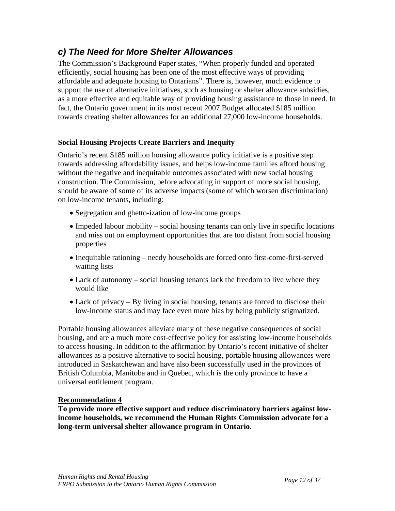## *c) The Need for More Shelter Allowances*

The Commission's Background Paper states, "When properly funded and operated efficiently, social housing has been one of the most effective ways of providing affordable and adequate housing to Ontarians". There is, however, much evidence to support the use of alternative initiatives, such as housing or shelter allowance subsidies, as a more effective and equitable way of providing housing assistance to those in need. In fact, the Ontario government in its most recent 2007 Budget allocated \$185 million towards creating shelter allowances for an additional 27,000 low-income households.

### **Social Housing Projects Create Barriers and Inequity**

Ontario's recent \$185 million housing allowance policy initiative is a positive step towards addressing affordability issues, and helps low-income families afford housing without the negative and inequitable outcomes associated with new social housing construction. The Commission, before advocating in support of more social housing, should be aware of some of its adverse impacts (some of which worsen discrimination) on low-income tenants, including:

- Segregation and ghetto-ization of low-income groups
- Impeded labour mobility social housing tenants can only live in specific locations and miss out on employment opportunities that are too distant from social housing properties
- Inequitable rationing needy households are forced onto first-come-first-served waiting lists
- Lack of autonomy social housing tenants lack the freedom to live where they would like
- Lack of privacy By living in social housing, tenants are forced to disclose their low-income status and may face even more bias by being publicly stigmatized.

Portable housing allowances alleviate many of these negative consequences of social housing, and are a much more cost-effective policy for assisting low-income households to access housing. In addition to the affirmation by Ontario's recent initiative of shelter allowances as a positive alternative to social housing, portable housing allowances were introduced in Saskatchewan and have also been successfully used in the provinces of British Columbia, Manitoba and in Quebec, which is the only province to have a universal entitlement program.

#### **Recommendation 4**

**To provide more effective support and reduce discriminatory barriers against lowincome households, we recommend the Human Rights Commission advocate for a long-term universal shelter allowance program in Ontario.**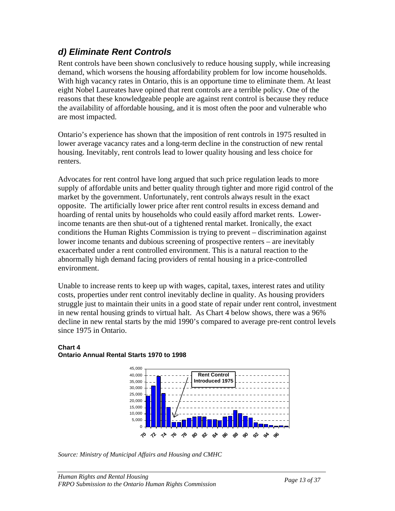## *d) Eliminate Rent Controls*

Rent controls have been shown conclusively to reduce housing supply, while increasing demand, which worsens the housing affordability problem for low income households. With high vacancy rates in Ontario, this is an opportune time to eliminate them. At least eight Nobel Laureates have opined that rent controls are a terrible policy. One of the reasons that these knowledgeable people are against rent control is because they reduce the availability of affordable housing, and it is most often the poor and vulnerable who are most impacted.

Ontario's experience has shown that the imposition of rent controls in 1975 resulted in lower average vacancy rates and a long-term decline in the construction of new rental housing. Inevitably, rent controls lead to lower quality housing and less choice for renters.

Advocates for rent control have long argued that such price regulation leads to more supply of affordable units and better quality through tighter and more rigid control of the market by the government. Unfortunately, rent controls always result in the exact opposite. The artificially lower price after rent control results in excess demand and hoarding of rental units by households who could easily afford market rents. Lowerincome tenants are then shut-out of a tightened rental market. Ironically, the exact conditions the Human Rights Commission is trying to prevent – discrimination against lower income tenants and dubious screening of prospective renters – are inevitably exacerbated under a rent controlled environment. This is a natural reaction to the abnormally high demand facing providers of rental housing in a price-controlled environment.

Unable to increase rents to keep up with wages, capital, taxes, interest rates and utility costs, properties under rent control inevitably decline in quality. As housing providers struggle just to maintain their units in a good state of repair under rent control, investment in new rental housing grinds to virtual halt. As Chart 4 below shows, there was a 96% decline in new rental starts by the mid 1990's compared to average pre-rent control levels since 1975 in Ontario.

#### **Chart 4 Ontario Annual Rental Starts 1970 to 1998**



*Source: Ministry of Municipal Affairs and Housing and CMHC*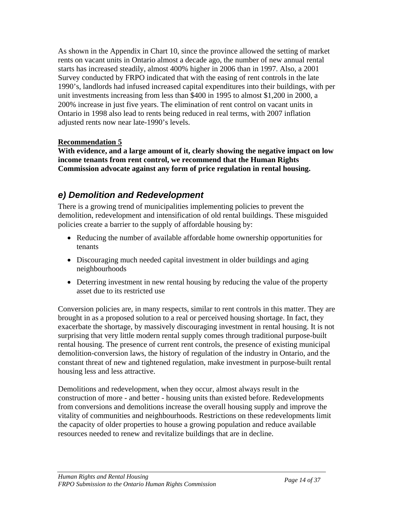As shown in the Appendix in Chart 10, since the province allowed the setting of market rents on vacant units in Ontario almost a decade ago, the number of new annual rental starts has increased steadily, almost 400% higher in 2006 than in 1997. Also, a 2001 Survey conducted by FRPO indicated that with the easing of rent controls in the late 1990's, landlords had infused increased capital expenditures into their buildings, with per unit investments increasing from less than \$400 in 1995 to almost \$1,200 in 2000, a 200% increase in just five years. The elimination of rent control on vacant units in Ontario in 1998 also lead to rents being reduced in real terms, with 2007 inflation adjusted rents now near late-1990's levels.

#### **Recommendation 5**

**With evidence, and a large amount of it, clearly showing the negative impact on low income tenants from rent control, we recommend that the Human Rights Commission advocate against any form of price regulation in rental housing.** 

## *e) Demolition and Redevelopment*

There is a growing trend of municipalities implementing policies to prevent the demolition, redevelopment and intensification of old rental buildings. These misguided policies create a barrier to the supply of affordable housing by:

- Reducing the number of available affordable home ownership opportunities for tenants
- Discouraging much needed capital investment in older buildings and aging neighbourhoods
- Deterring investment in new rental housing by reducing the value of the property asset due to its restricted use

Conversion policies are, in many respects, similar to rent controls in this matter. They are brought in as a proposed solution to a real or perceived housing shortage. In fact, they exacerbate the shortage, by massively discouraging investment in rental housing. It is not surprising that very little modern rental supply comes through traditional purpose-built rental housing. The presence of current rent controls, the presence of existing municipal demolition-conversion laws, the history of regulation of the industry in Ontario, and the constant threat of new and tightened regulation, make investment in purpose-built rental housing less and less attractive.

Demolitions and redevelopment, when they occur, almost always result in the construction of more - and better - housing units than existed before. Redevelopments from conversions and demolitions increase the overall housing supply and improve the vitality of communities and neighbourhoods. Restrictions on these redevelopments limit the capacity of older properties to house a growing population and reduce available resources needed to renew and revitalize buildings that are in decline.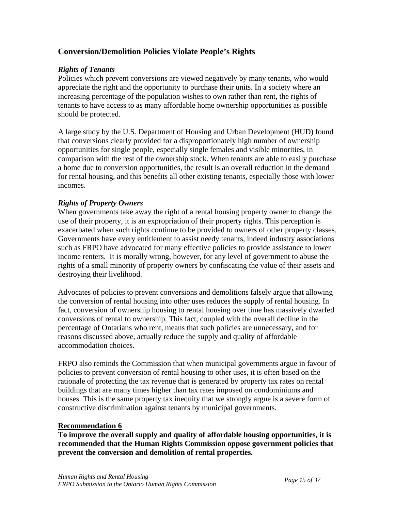### **Conversion/Demolition Policies Violate People's Rights**

### *Rights of Tenants*

Policies which prevent conversions are viewed negatively by many tenants, who would appreciate the right and the opportunity to purchase their units. In a society where an increasing percentage of the population wishes to own rather than rent, the rights of tenants to have access to as many affordable home ownership opportunities as possible should be protected.

A large study by the U.S. Department of Housing and Urban Development (HUD) found that conversions clearly provided for a disproportionately high number of ownership opportunities for single people, especially single females and visible minorities, in comparison with the rest of the ownership stock. When tenants are able to easily purchase a home due to conversion opportunities, the result is an overall reduction in the demand for rental housing, and this benefits all other existing tenants, especially those with lower incomes.

#### *Rights of Property Owners*

When governments take away the right of a rental housing property owner to change the use of their property, it is an expropriation of their property rights. This perception is exacerbated when such rights continue to be provided to owners of other property classes. Governments have every entitlement to assist needy tenants, indeed industry associations such as FRPO have advocated for many effective policies to provide assistance to lower income renters. It is morally wrong, however, for any level of government to abuse the rights of a small minority of property owners by confiscating the value of their assets and destroying their livelihood.

Advocates of policies to prevent conversions and demolitions falsely argue that allowing the conversion of rental housing into other uses reduces the supply of rental housing. In fact, conversion of ownership housing to rental housing over time has massively dwarfed conversions of rental to ownership. This fact, coupled with the overall decline in the percentage of Ontarians who rent, means that such policies are unnecessary, and for reasons discussed above, actually reduce the supply and quality of affordable accommodation choices.

FRPO also reminds the Commission that when municipal governments argue in favour of policies to prevent conversion of rental housing to other uses, it is often based on the rationale of protecting the tax revenue that is generated by property tax rates on rental buildings that are many times higher than tax rates imposed on condominiums and houses. This is the same property tax inequity that we strongly argue is a severe form of constructive discrimination against tenants by municipal governments.

### **Recommendation 6**

**To improve the overall supply and quality of affordable housing opportunities, it is recommended that the Human Rights Commission oppose government policies that prevent the conversion and demolition of rental properties.**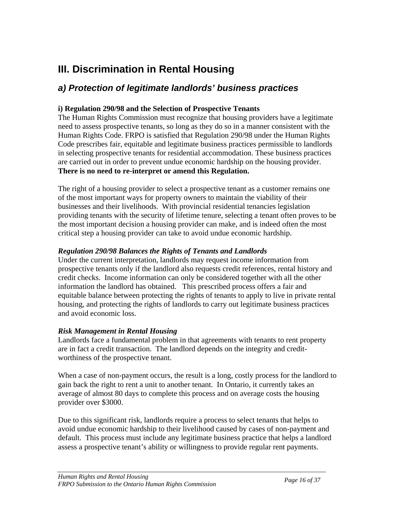# **III. Discrimination in Rental Housing**

## *a) Protection of legitimate landlords' business practices*

#### **i) Regulation 290/98 and the Selection of Prospective Tenants**

The Human Rights Commission must recognize that housing providers have a legitimate need to assess prospective tenants, so long as they do so in a manner consistent with the Human Rights Code. FRPO is satisfied that Regulation 290/98 under the Human Rights Code prescribes fair, equitable and legitimate business practices permissible to landlords in selecting prospective tenants for residential accommodation. These business practices are carried out in order to prevent undue economic hardship on the housing provider. **There is no need to re-interpret or amend this Regulation.**

The right of a housing provider to select a prospective tenant as a customer remains one of the most important ways for property owners to maintain the viability of their businesses and their livelihoods. With provincial residential tenancies legislation providing tenants with the security of lifetime tenure, selecting a tenant often proves to be the most important decision a housing provider can make, and is indeed often the most critical step a housing provider can take to avoid undue economic hardship.

#### *Regulation 290/98 Balances the Rights of Tenants and Landlords*

Under the current interpretation, landlords may request income information from prospective tenants only if the landlord also requests credit references, rental history and credit checks. Income information can only be considered together with all the other information the landlord has obtained. This prescribed process offers a fair and equitable balance between protecting the rights of tenants to apply to live in private rental housing, and protecting the rights of landlords to carry out legitimate business practices and avoid economic loss.

#### *Risk Management in Rental Housing*

Landlords face a fundamental problem in that agreements with tenants to rent property are in fact a credit transaction. The landlord depends on the integrity and creditworthiness of the prospective tenant.

When a case of non-payment occurs, the result is a long, costly process for the landlord to gain back the right to rent a unit to another tenant. In Ontario, it currently takes an average of almost 80 days to complete this process and on average costs the housing provider over \$3000.

Due to this significant risk, landlords require a process to select tenants that helps to avoid undue economic hardship to their livelihood caused by cases of non-payment and default. This process must include any legitimate business practice that helps a landlord assess a prospective tenant's ability or willingness to provide regular rent payments.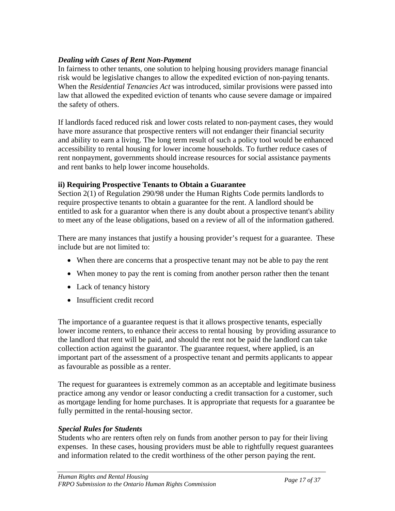#### *Dealing with Cases of Rent Non-Payment*

In fairness to other tenants, one solution to helping housing providers manage financial risk would be legislative changes to allow the expedited eviction of non-paying tenants. When the *Residential Tenancies Act* was introduced, similar provisions were passed into law that allowed the expedited eviction of tenants who cause severe damage or impaired the safety of others.

If landlords faced reduced risk and lower costs related to non-payment cases, they would have more assurance that prospective renters will not endanger their financial security and ability to earn a living. The long term result of such a policy tool would be enhanced accessibility to rental housing for lower income households. To further reduce cases of rent nonpayment, governments should increase resources for social assistance payments and rent banks to help lower income households.

#### **ii) Requiring Prospective Tenants to Obtain a Guarantee**

Section 2(1) of Regulation 290/98 under the Human Rights Code permits landlords to require prospective tenants to obtain a guarantee for the rent. A landlord should be entitled to ask for a guarantor when there is any doubt about a prospective tenant's ability to meet any of the lease obligations, based on a review of all of the information gathered.

There are many instances that justify a housing provider's request for a guarantee. These include but are not limited to:

- When there are concerns that a prospective tenant may not be able to pay the rent
- When money to pay the rent is coming from another person rather then the tenant
- Lack of tenancy history
- Insufficient credit record

The importance of a guarantee request is that it allows prospective tenants, especially lower income renters, to enhance their access to rental housing by providing assurance to the landlord that rent will be paid, and should the rent not be paid the landlord can take collection action against the guarantor. The guarantee request, where applied, is an important part of the assessment of a prospective tenant and permits applicants to appear as favourable as possible as a renter.

The request for guarantees is extremely common as an acceptable and legitimate business practice among any vendor or leasor conducting a credit transaction for a customer, such as mortgage lending for home purchases. It is appropriate that requests for a guarantee be fully permitted in the rental-housing sector.

#### *Special Rules for Students*

Students who are renters often rely on funds from another person to pay for their living expenses. In these cases, housing providers must be able to rightfully request guarantees and information related to the credit worthiness of the other person paying the rent.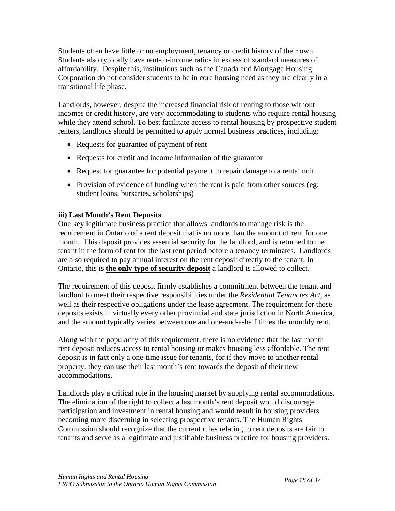Students often have little or no employment, tenancy or credit history of their own. Students also typically have rent-to-income ratios in excess of standard measures of affordability. Despite this, institutions such as the Canada and Mortgage Housing Corporation do not consider students to be in core housing need as they are clearly in a transitional life phase.

Landlords, however, despite the increased financial risk of renting to those without incomes or credit history, are very accommodating to students who require rental housing while they attend school. To best facilitate access to rental housing by prospective student renters, landlords should be permitted to apply normal business practices, including:

- Requests for guarantee of payment of rent
- Requests for credit and income information of the guarantor
- Request for guarantee for potential payment to repair damage to a rental unit
- Provision of evidence of funding when the rent is paid from other sources (eg: student loans, bursaries, scholarships)

### **iii) Last Month's Rent Deposits**

One key legitimate business practice that allows landlords to manage risk is the requirement in Ontario of a rent deposit that is no more than the amount of rent for one month. This deposit provides essential security for the landlord, and is returned to the tenant in the form of rent for the last rent period before a tenancy terminates. Landlords are also required to pay annual interest on the rent deposit directly to the tenant. In Ontario, this is **the only type of security deposit** a landlord is allowed to collect.

The requirement of this deposit firmly establishes a commitment between the tenant and landlord to meet their respective responsibilities under the *Residential Tenancies Act*, as well as their respective obligations under the lease agreement. The requirement for these deposits exists in virtually every other provincial and state jurisdiction in North America, and the amount typically varies between one and one-and-a-half times the monthly rent.

Along with the popularity of this requirement, there is no evidence that the last month rent deposit reduces access to rental housing or makes housing less affordable. The rent deposit is in fact only a one-time issue for tenants, for if they move to another rental property, they can use their last month's rent towards the deposit of their new accommodations.

Landlords play a critical role in the housing market by supplying rental accommodations. The elimination of the right to collect a last month's rent deposit would discourage participation and investment in rental housing and would result in housing providers becoming more discerning in selecting prospective tenants. The Human Rights Commission should recognize that the current rules relating to rent deposits are fair to tenants and serve as a legitimate and justifiable business practice for housing providers.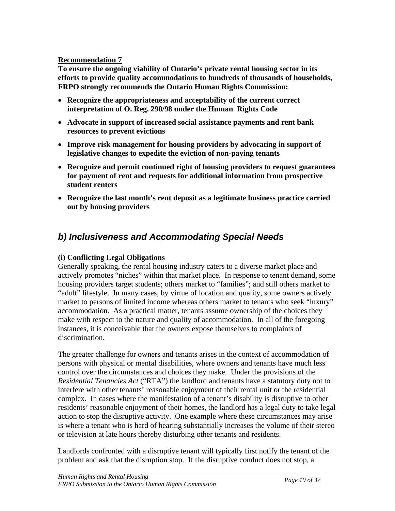#### **Recommendation 7**

**To ensure the ongoing viability of Ontario's private rental housing sector in its efforts to provide quality accommodations to hundreds of thousands of households, FRPO strongly recommends the Ontario Human Rights Commission:** 

- **Recognize the appropriateness and acceptability of the current correct interpretation of O. Reg. 290/98 under the Human Rights Code**
- **Advocate in support of increased social assistance payments and rent bank resources to prevent evictions**
- **Improve risk management for housing providers by advocating in support of legislative changes to expedite the eviction of non-paying tenants**
- **Recognize and permit continued right of housing providers to request guarantees for payment of rent and requests for additional information from prospective student renters**
- **Recognize the last month's rent deposit as a legitimate business practice carried out by housing providers**

## *b) Inclusiveness and Accommodating Special Needs*

### **(i) Conflicting Legal Obligations**

Generally speaking, the rental housing industry caters to a diverse market place and actively promotes "niches" within that market place. In response to tenant demand, some housing providers target students; others market to "families"; and still others market to "adult" lifestyle. In many cases, by virtue of location and quality, some owners actively market to persons of limited income whereas others market to tenants who seek "luxury" accommodation. As a practical matter, tenants assume ownership of the choices they make with respect to the nature and quality of accommodation. In all of the foregoing instances, it is conceivable that the owners expose themselves to complaints of discrimination.

The greater challenge for owners and tenants arises in the context of accommodation of persons with physical or mental disabilities, where owners and tenants have much less control over the circumstances and choices they make. Under the provisions of the *Residential Tenancies Act* ("RTA") the landlord and tenants have a statutory duty not to interfere with other tenants' reasonable enjoyment of their rental unit or the residential complex. In cases where the manifestation of a tenant's disability is disruptive to other residents' reasonable enjoyment of their homes, the landlord has a legal duty to take legal action to stop the disruptive activity. One example where these circumstances may arise is where a tenant who is hard of hearing substantially increases the volume of their stereo or television at late hours thereby disturbing other tenants and residents.

Landlords confronted with a disruptive tenant will typically first notify the tenant of the problem and ask that the disruption stop. If the disruptive conduct does not stop, a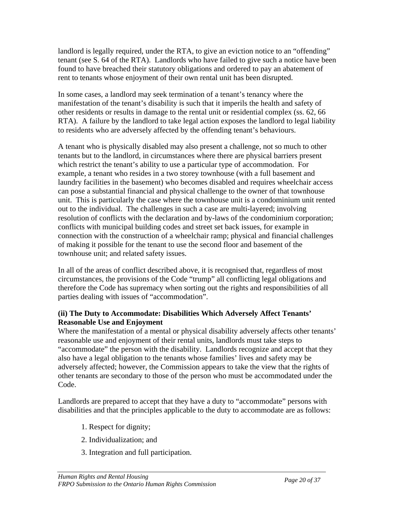landlord is legally required, under the RTA, to give an eviction notice to an "offending" tenant (see S. 64 of the RTA). Landlords who have failed to give such a notice have been found to have breached their statutory obligations and ordered to pay an abatement of rent to tenants whose enjoyment of their own rental unit has been disrupted.

In some cases, a landlord may seek termination of a tenant's tenancy where the manifestation of the tenant's disability is such that it imperils the health and safety of other residents or results in damage to the rental unit or residential complex (ss. 62, 66 RTA). A failure by the landlord to take legal action exposes the landlord to legal liability to residents who are adversely affected by the offending tenant's behaviours.

A tenant who is physically disabled may also present a challenge, not so much to other tenants but to the landlord, in circumstances where there are physical barriers present which restrict the tenant's ability to use a particular type of accommodation. For example, a tenant who resides in a two storey townhouse (with a full basement and laundry facilities in the basement) who becomes disabled and requires wheelchair access can pose a substantial financial and physical challenge to the owner of that townhouse unit. This is particularly the case where the townhouse unit is a condominium unit rented out to the individual. The challenges in such a case are multi-layered; involving resolution of conflicts with the declaration and by-laws of the condominium corporation; conflicts with municipal building codes and street set back issues, for example in connection with the construction of a wheelchair ramp; physical and financial challenges of making it possible for the tenant to use the second floor and basement of the townhouse unit; and related safety issues.

In all of the areas of conflict described above, it is recognised that, regardless of most circumstances, the provisions of the Code "trump" all conflicting legal obligations and therefore the Code has supremacy when sorting out the rights and responsibilities of all parties dealing with issues of "accommodation".

#### **(ii) The Duty to Accommodate: Disabilities Which Adversely Affect Tenants' Reasonable Use and Enjoyment**

Where the manifestation of a mental or physical disability adversely affects other tenants' reasonable use and enjoyment of their rental units, landlords must take steps to "accommodate" the person with the disability. Landlords recognize and accept that they also have a legal obligation to the tenants whose families' lives and safety may be adversely affected; however, the Commission appears to take the view that the rights of other tenants are secondary to those of the person who must be accommodated under the Code.

Landlords are prepared to accept that they have a duty to "accommodate" persons with disabilities and that the principles applicable to the duty to accommodate are as follows:

- 1. Respect for dignity;
- 2. Individualization; and
- 3. Integration and full participation.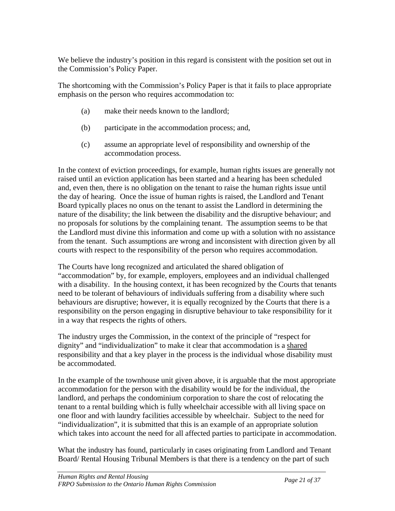We believe the industry's position in this regard is consistent with the position set out in the Commission's Policy Paper.

The shortcoming with the Commission's Policy Paper is that it fails to place appropriate emphasis on the person who requires accommodation to:

- (a) make their needs known to the landlord;
- (b) participate in the accommodation process; and,
- (c) assume an appropriate level of responsibility and ownership of the accommodation process.

In the context of eviction proceedings, for example, human rights issues are generally not raised until an eviction application has been started and a hearing has been scheduled and, even then, there is no obligation on the tenant to raise the human rights issue until the day of hearing. Once the issue of human rights is raised, the Landlord and Tenant Board typically places no onus on the tenant to assist the Landlord in determining the nature of the disability; the link between the disability and the disruptive behaviour; and no proposals for solutions by the complaining tenant. The assumption seems to be that the Landlord must divine this information and come up with a solution with no assistance from the tenant. Such assumptions are wrong and inconsistent with direction given by all courts with respect to the responsibility of the person who requires accommodation.

The Courts have long recognized and articulated the shared obligation of "accommodation" by, for example, employers, employees and an individual challenged with a disability. In the housing context, it has been recognized by the Courts that tenants need to be tolerant of behaviours of individuals suffering from a disability where such behaviours are disruptive; however, it is equally recognized by the Courts that there is a responsibility on the person engaging in disruptive behaviour to take responsibility for it in a way that respects the rights of others.

The industry urges the Commission, in the context of the principle of "respect for dignity" and "individualization" to make it clear that accommodation is a shared responsibility and that a key player in the process is the individual whose disability must be accommodated.

In the example of the townhouse unit given above, it is arguable that the most appropriate accommodation for the person with the disability would be for the individual, the landlord, and perhaps the condominium corporation to share the cost of relocating the tenant to a rental building which is fully wheelchair accessible with all living space on one floor and with laundry facilities accessible by wheelchair. Subject to the need for "individualization", it is submitted that this is an example of an appropriate solution which takes into account the need for all affected parties to participate in accommodation.

What the industry has found, particularly in cases originating from Landlord and Tenant Board/ Rental Housing Tribunal Members is that there is a tendency on the part of such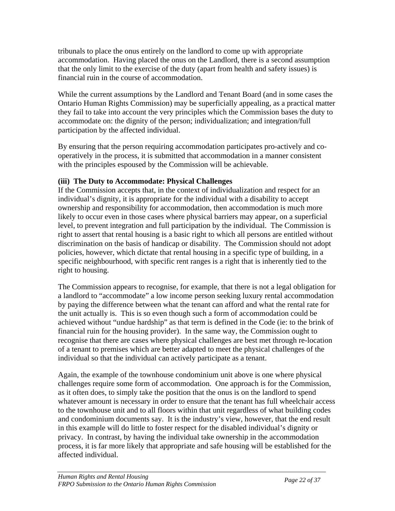tribunals to place the onus entirely on the landlord to come up with appropriate accommodation. Having placed the onus on the Landlord, there is a second assumption that the only limit to the exercise of the duty (apart from health and safety issues) is financial ruin in the course of accommodation.

While the current assumptions by the Landlord and Tenant Board (and in some cases the Ontario Human Rights Commission) may be superficially appealing, as a practical matter they fail to take into account the very principles which the Commission bases the duty to accommodate on: the dignity of the person; individualization; and integration/full participation by the affected individual.

By ensuring that the person requiring accommodation participates pro-actively and cooperatively in the process, it is submitted that accommodation in a manner consistent with the principles espoused by the Commission will be achievable.

### **(iii) The Duty to Accommodate: Physical Challenges**

If the Commission accepts that, in the context of individualization and respect for an individual's dignity, it is appropriate for the individual with a disability to accept ownership and responsibility for accommodation, then accommodation is much more likely to occur even in those cases where physical barriers may appear, on a superficial level, to prevent integration and full participation by the individual. The Commission is right to assert that rental housing is a basic right to which all persons are entitled without discrimination on the basis of handicap or disability. The Commission should not adopt policies, however, which dictate that rental housing in a specific type of building, in a specific neighbourhood, with specific rent ranges is a right that is inherently tied to the right to housing.

The Commission appears to recognise, for example, that there is not a legal obligation for a landlord to "accommodate" a low income person seeking luxury rental accommodation by paying the difference between what the tenant can afford and what the rental rate for the unit actually is. This is so even though such a form of accommodation could be achieved without "undue hardship" as that term is defined in the Code (ie: to the brink of financial ruin for the housing provider). In the same way, the Commission ought to recognise that there are cases where physical challenges are best met through re-location of a tenant to premises which are better adapted to meet the physical challenges of the individual so that the individual can actively participate as a tenant.

Again, the example of the townhouse condominium unit above is one where physical challenges require some form of accommodation. One approach is for the Commission, as it often does, to simply take the position that the onus is on the landlord to spend whatever amount is necessary in order to ensure that the tenant has full wheelchair access to the townhouse unit and to all floors within that unit regardless of what building codes and condominium documents say. It is the industry's view, however, that the end result in this example will do little to foster respect for the disabled individual's dignity or privacy. In contrast, by having the individual take ownership in the accommodation process, it is far more likely that appropriate and safe housing will be established for the affected individual.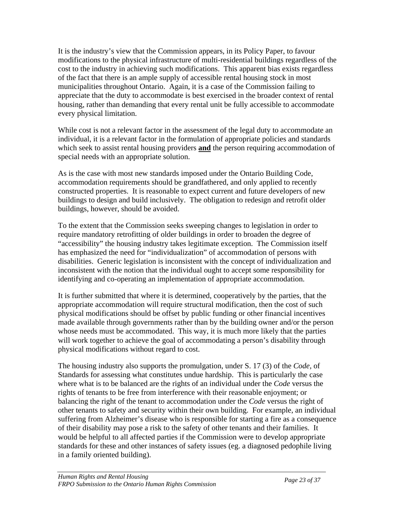It is the industry's view that the Commission appears, in its Policy Paper, to favour modifications to the physical infrastructure of multi-residential buildings regardless of the cost to the industry in achieving such modifications. This apparent bias exists regardless of the fact that there is an ample supply of accessible rental housing stock in most municipalities throughout Ontario. Again, it is a case of the Commission failing to appreciate that the duty to accommodate is best exercised in the broader context of rental housing, rather than demanding that every rental unit be fully accessible to accommodate every physical limitation.

While cost is not a relevant factor in the assessment of the legal duty to accommodate an individual, it is a relevant factor in the formulation of appropriate policies and standards which seek to assist rental housing providers **and** the person requiring accommodation of special needs with an appropriate solution.

As is the case with most new standards imposed under the Ontario Building Code, accommodation requirements should be grandfathered, and only applied to recently constructed properties. It is reasonable to expect current and future developers of new buildings to design and build inclusively. The obligation to redesign and retrofit older buildings, however, should be avoided.

To the extent that the Commission seeks sweeping changes to legislation in order to require mandatory retrofitting of older buildings in order to broaden the degree of "accessibility" the housing industry takes legitimate exception. The Commission itself has emphasized the need for "individualization" of accommodation of persons with disabilities. Generic legislation is inconsistent with the concept of individualization and inconsistent with the notion that the individual ought to accept some responsibility for identifying and co-operating an implementation of appropriate accommodation.

It is further submitted that where it is determined, cooperatively by the parties, that the appropriate accommodation will require structural modification, then the cost of such physical modifications should be offset by public funding or other financial incentives made available through governments rather than by the building owner and/or the person whose needs must be accommodated. This way, it is much more likely that the parties will work together to achieve the goal of accommodating a person's disability through physical modifications without regard to cost.

The housing industry also supports the promulgation, under S. 17 (3) of the *Code,* of Standards for assessing what constitutes undue hardship. This is particularly the case where what is to be balanced are the rights of an individual under the *Code* versus the rights of tenants to be free from interference with their reasonable enjoyment; or balancing the right of the tenant to accommodation under the *Code* versus the right of other tenants to safety and security within their own building. For example, an individual suffering from Alzheimer's disease who is responsible for starting a fire as a consequence of their disability may pose a risk to the safety of other tenants and their families. It would be helpful to all affected parties if the Commission were to develop appropriate standards for these and other instances of safety issues (eg. a diagnosed pedophile living in a family oriented building).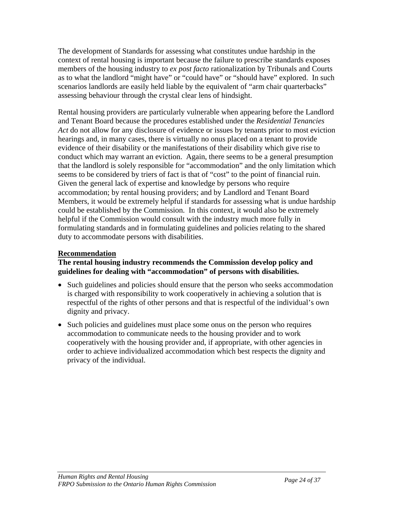The development of Standards for assessing what constitutes undue hardship in the context of rental housing is important because the failure to prescribe standards exposes members of the housing industry to *ex post facto* rationalization by Tribunals and Courts as to what the landlord "might have" or "could have" or "should have" explored. In such scenarios landlords are easily held liable by the equivalent of "arm chair quarterbacks" assessing behaviour through the crystal clear lens of hindsight.

Rental housing providers are particularly vulnerable when appearing before the Landlord and Tenant Board because the procedures established under the *Residential Tenancies Act* do not allow for any disclosure of evidence or issues by tenants prior to most eviction hearings and, in many cases, there is virtually no onus placed on a tenant to provide evidence of their disability or the manifestations of their disability which give rise to conduct which may warrant an eviction. Again, there seems to be a general presumption that the landlord is solely responsible for "accommodation" and the only limitation which seems to be considered by triers of fact is that of "cost" to the point of financial ruin. Given the general lack of expertise and knowledge by persons who require accommodation; by rental housing providers; and by Landlord and Tenant Board Members, it would be extremely helpful if standards for assessing what is undue hardship could be established by the Commission. In this context, it would also be extremely helpful if the Commission would consult with the industry much more fully in formulating standards and in formulating guidelines and policies relating to the shared duty to accommodate persons with disabilities.

#### **Recommendation**

#### **The rental housing industry recommends the Commission develop policy and guidelines for dealing with "accommodation" of persons with disabilities.**

- Such guidelines and policies should ensure that the person who seeks accommodation is charged with responsibility to work cooperatively in achieving a solution that is respectful of the rights of other persons and that is respectful of the individual's own dignity and privacy.
- Such policies and guidelines must place some onus on the person who requires accommodation to communicate needs to the housing provider and to work cooperatively with the housing provider and, if appropriate, with other agencies in order to achieve individualized accommodation which best respects the dignity and privacy of the individual.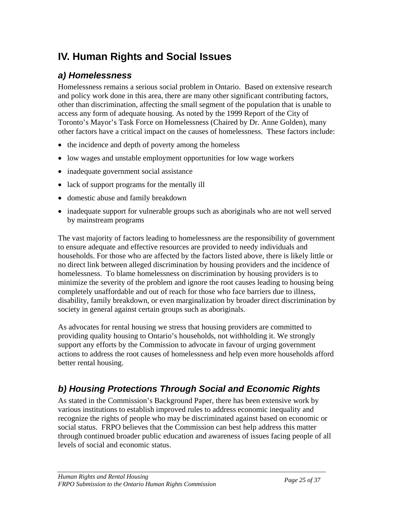# **IV. Human Rights and Social Issues**

## *a) Homelessness*

Homelessness remains a serious social problem in Ontario. Based on extensive research and policy work done in this area, there are many other significant contributing factors, other than discrimination, affecting the small segment of the population that is unable to access any form of adequate housing. As noted by the 1999 Report of the City of Toronto's Mayor's Task Force on Homelessness (Chaired by Dr. Anne Golden), many other factors have a critical impact on the causes of homelessness. These factors include:

- the incidence and depth of poverty among the homeless
- low wages and unstable employment opportunities for low wage workers
- inadequate government social assistance
- lack of support programs for the mentally ill
- domestic abuse and family breakdown
- inadequate support for vulnerable groups such as aboriginals who are not well served by mainstream programs

The vast majority of factors leading to homelessness are the responsibility of government to ensure adequate and effective resources are provided to needy individuals and households. For those who are affected by the factors listed above, there is likely little or no direct link between alleged discrimination by housing providers and the incidence of homelessness. To blame homelessness on discrimination by housing providers is to minimize the severity of the problem and ignore the root causes leading to housing being completely unaffordable and out of reach for those who face barriers due to illness, disability, family breakdown, or even marginalization by broader direct discrimination by society in general against certain groups such as aboriginals.

As advocates for rental housing we stress that housing providers are committed to providing quality housing to Ontario's households, not withholding it. We strongly support any efforts by the Commission to advocate in favour of urging government actions to address the root causes of homelessness and help even more households afford better rental housing.

## *b) Housing Protections Through Social and Economic Rights*

As stated in the Commission's Background Paper, there has been extensive work by various institutions to establish improved rules to address economic inequality and recognize the rights of people who may be discriminated against based on economic or social status. FRPO believes that the Commission can best help address this matter through continued broader public education and awareness of issues facing people of all levels of social and economic status.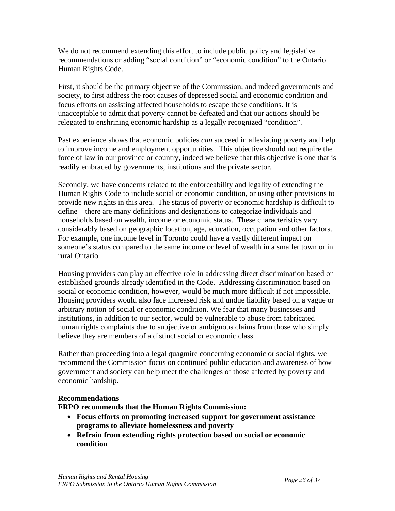We do not recommend extending this effort to include public policy and legislative recommendations or adding "social condition" or "economic condition" to the Ontario Human Rights Code.

First, it should be the primary objective of the Commission, and indeed governments and society, to first address the root causes of depressed social and economic condition and focus efforts on assisting affected households to escape these conditions. It is unacceptable to admit that poverty cannot be defeated and that our actions should be relegated to enshrining economic hardship as a legally recognized "condition".

Past experience shows that economic policies *can* succeed in alleviating poverty and help to improve income and employment opportunities. This objective should not require the force of law in our province or country, indeed we believe that this objective is one that is readily embraced by governments, institutions and the private sector.

Secondly, we have concerns related to the enforceability and legality of extending the Human Rights Code to include social or economic condition, or using other provisions to provide new rights in this area. The status of poverty or economic hardship is difficult to define – there are many definitions and designations to categorize individuals and households based on wealth, income or economic status. These characteristics vary considerably based on geographic location, age, education, occupation and other factors. For example, one income level in Toronto could have a vastly different impact on someone's status compared to the same income or level of wealth in a smaller town or in rural Ontario.

Housing providers can play an effective role in addressing direct discrimination based on established grounds already identified in the Code. Addressing discrimination based on social or economic condition, however, would be much more difficult if not impossible. Housing providers would also face increased risk and undue liability based on a vague or arbitrary notion of social or economic condition. We fear that many businesses and institutions, in addition to our sector, would be vulnerable to abuse from fabricated human rights complaints due to subjective or ambiguous claims from those who simply believe they are members of a distinct social or economic class.

Rather than proceeding into a legal quagmire concerning economic or social rights, we recommend the Commission focus on continued public education and awareness of how government and society can help meet the challenges of those affected by poverty and economic hardship.

#### **Recommendations**

**FRPO recommends that the Human Rights Commission:** 

- **Focus efforts on promoting increased support for government assistance programs to alleviate homelessness and poverty**
- **Refrain from extending rights protection based on social or economic condition**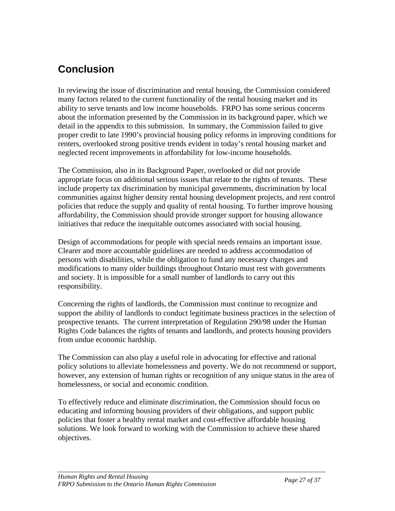# **Conclusion**

In reviewing the issue of discrimination and rental housing, the Commission considered many factors related to the current functionality of the rental housing market and its ability to serve tenants and low income households. FRPO has some serious concerns about the information presented by the Commission in its background paper, which we detail in the appendix to this submission. In summary, the Commission failed to give proper credit to late 1990's provincial housing policy reforms in improving conditions for renters, overlooked strong positive trends evident in today's rental housing market and neglected recent improvements in affordability for low-income households.

The Commission, also in its Background Paper, overlooked or did not provide appropriate focus on additional serious issues that relate to the rights of tenants. These include property tax discrimination by municipal governments, discrimination by local communities against higher density rental housing development projects, and rent control policies that reduce the supply and quality of rental housing. To further improve housing affordability, the Commission should provide stronger support for housing allowance initiatives that reduce the inequitable outcomes associated with social housing.

Design of accommodations for people with special needs remains an important issue. Clearer and more accountable guidelines are needed to address accommodation of persons with disabilities, while the obligation to fund any necessary changes and modifications to many older buildings throughout Ontario must rest with governments and society. It is impossible for a small number of landlords to carry out this responsibility.

Concerning the rights of landlords, the Commission must continue to recognize and support the ability of landlords to conduct legitimate business practices in the selection of prospective tenants. The current interpretation of Regulation 290/98 under the Human Rights Code balances the rights of tenants and landlords, and protects housing providers from undue economic hardship.

The Commission can also play a useful role in advocating for effective and rational policy solutions to alleviate homelessness and poverty. We do not recommend or support, however, any extension of human rights or recognition of any unique status in the area of homelessness, or social and economic condition.

To effectively reduce and eliminate discrimination, the Commission should focus on educating and informing housing providers of their obligations, and support public policies that foster a healthy rental market and cost-effective affordable housing solutions. We look forward to working with the Commission to achieve these shared objectives.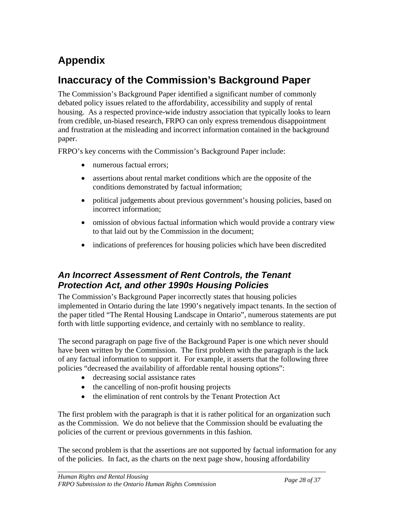# **Appendix**

# **Inaccuracy of the Commission's Background Paper**

The Commission's Background Paper identified a significant number of commonly debated policy issues related to the affordability, accessibility and supply of rental housing. As a respected province-wide industry association that typically looks to learn from credible, un-biased research, FRPO can only express tremendous disappointment and frustration at the misleading and incorrect information contained in the background paper.

FRPO's key concerns with the Commission's Background Paper include:

- numerous factual errors:
- assertions about rental market conditions which are the opposite of the conditions demonstrated by factual information;
- political judgements about previous government's housing policies, based on incorrect information;
- omission of obvious factual information which would provide a contrary view to that laid out by the Commission in the document;
- indications of preferences for housing policies which have been discredited

## *An Incorrect Assessment of Rent Controls, the Tenant Protection Act, and other 1990s Housing Policies*

The Commission's Background Paper incorrectly states that housing policies implemented in Ontario during the late 1990's negatively impact tenants. In the section of the paper titled "The Rental Housing Landscape in Ontario", numerous statements are put forth with little supporting evidence, and certainly with no semblance to reality.

The second paragraph on page five of the Background Paper is one which never should have been written by the Commission. The first problem with the paragraph is the lack of any factual information to support it. For example, it asserts that the following three policies "decreased the availability of affordable rental housing options":

- decreasing social assistance rates
- the cancelling of non-profit housing projects
- the elimination of rent controls by the Tenant Protection Act

The first problem with the paragraph is that it is rather political for an organization such as the Commission. We do not believe that the Commission should be evaluating the policies of the current or previous governments in this fashion.

The second problem is that the assertions are not supported by factual information for any of the policies. In fact, as the charts on the next page show, housing affordability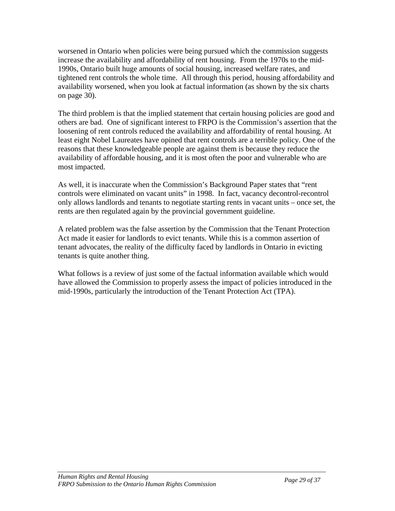worsened in Ontario when policies were being pursued which the commission suggests increase the availability and affordability of rent housing. From the 1970s to the mid-1990s, Ontario built huge amounts of social housing, increased welfare rates, and tightened rent controls the whole time. All through this period, housing affordability and availability worsened, when you look at factual information (as shown by the six charts on page 30).

The third problem is that the implied statement that certain housing policies are good and others are bad. One of significant interest to FRPO is the Commission's assertion that the loosening of rent controls reduced the availability and affordability of rental housing. At least eight Nobel Laureates have opined that rent controls are a terrible policy. One of the reasons that these knowledgeable people are against them is because they reduce the availability of affordable housing, and it is most often the poor and vulnerable who are most impacted.

As well, it is inaccurate when the Commission's Background Paper states that "rent controls were eliminated on vacant units" in 1998. In fact, vacancy decontrol-recontrol only allows landlords and tenants to negotiate starting rents in vacant units – once set, the rents are then regulated again by the provincial government guideline.

A related problem was the false assertion by the Commission that the Tenant Protection Act made it easier for landlords to evict tenants. While this is a common assertion of tenant advocates, the reality of the difficulty faced by landlords in Ontario in evicting tenants is quite another thing.

What follows is a review of just some of the factual information available which would have allowed the Commission to properly assess the impact of policies introduced in the mid-1990s, particularly the introduction of the Tenant Protection Act (TPA).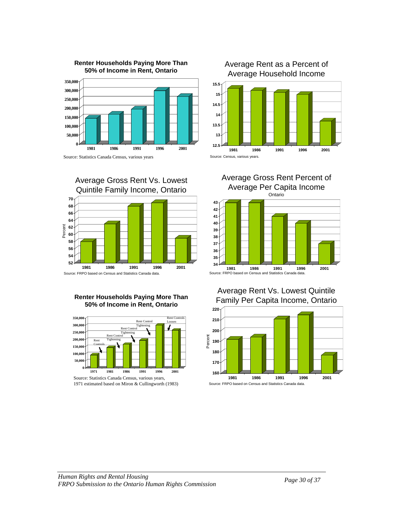

**Renter Households Paying More Than** 

Source: Statistics Canada Census, various years



#### **Renter Households Paying More Than 50% of Income in Rent, Ontario**



<sup>1971</sup> estimated based on Miron & Cullingworth (1983)









#### Average Rent Vs. Lowest Quintile Family Per Capita Income, Ontario

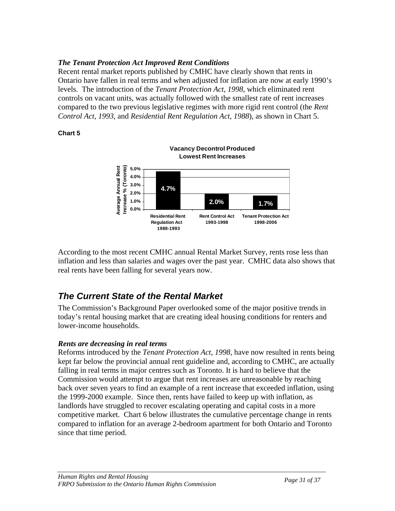### *The Ten ant Protection Act Improved Rent Conditions*

Recent r ental market reports published by CMHC have clearly shown that rents in Ontario have fallen in real terms and when adjusted for inflation are now at early 1990's levels. The introduction of the *Tenant Protection Act, 1998*, which eliminated rent controls on vacant units, was actually followed with the smallest rate of rent increases compared to the two previous legislative regimes with more rigid rent control (the *Rent Control Act, 1993*, and *Residential Rent Regulation Act, 1988*), as shown in Chart 5.

#### **Chart 5**



inflation and less than salaries and wages over the past year. CMHC data also shows that real rents have been falling for several years now. According to the most recent CMHC annual Rental Market Survey, rents rose less than

## *The Current State of the Rental Market*

The Commission's Background Paper overlooked some of the major positive trends in today's rental housing market that are creating ideal housing conditions for renters and lower-income households.

#### *Rents are decreasing in real terms*

falling in real terms in major centres such as Toronto. It is hard to believe that the Commission would attempt to argue that rent increases are unreasonable by reaching back over seven years to find an example of a rent increase that exceeded inflation, using the 1999-2000 example. Since then, rents have failed to keep up with inflation, as landlords have struggled to recover escalating operating and capital costs in a more competitive market. Chart 6 below illustrates the cumulative percentage change in rents compared to inflation for an average 2-bedroom apartment for both Ontario and Toronto since that time period. Reforms introduced by the *Tenant Protection Act, 1998,* have now resulted in rents being kept far below the provincial annual rent guideline and, according to CMHC, are actually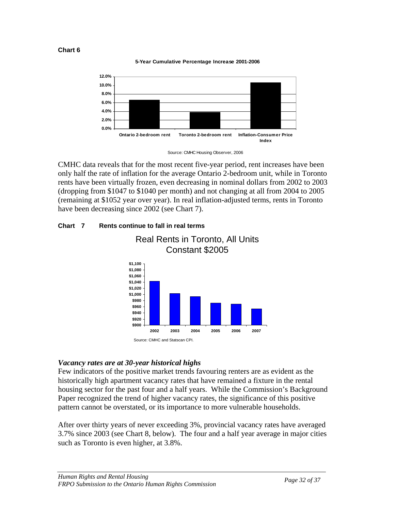

**5-Year Cumulative Percentage Increase 2001-2006**



Source: CMHC Housing Observer, 2006

CMHC data reveals that for the most recent five-year period, rent increases have been only half the rate of inflation for the average Ontario 2-bedroom unit, while in Toronto rents have been virtually frozen, even decreasing in nominal dollars from 2002 to 2003 (dropping from \$1047 to \$1040 per month) and not changing at all from 2004 to 2005 (remaining at \$1052 year over year). In real inflation-adjusted terms, rents in Toronto have been decreasing since 2002 (see Chart 7).



Real Rents in Toronto, All Units

#### **Chart 7 Rents continue to fall in real terms**

#### *Vacancy rates are at 30-year historical highs*

Few indicators of the positive market trends favouring renters are as evident as the historically high apartment vacancy rates that have remained a fixture in the rental housing sector for the past four and a half years. While the Commission's Background Paper recognized the trend of higher vacancy rates, the significance of this posi tive pattern cannot be overstated, or its importance to more vulnerable households.

3.7% since 2003 (see Chart 8, below). The four and a half year average in major cities such as Toronto is even higher, at 3.8%. After over thirty years of never exceeding 3%, provincial vacancy rates have averaged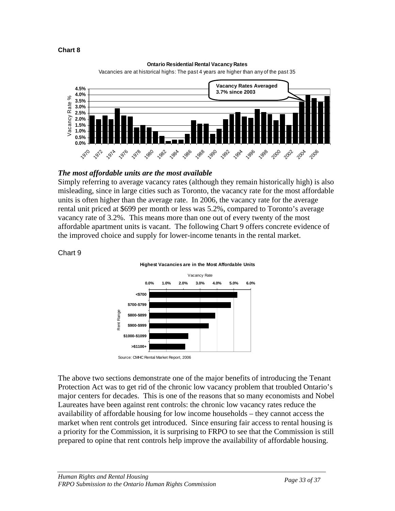#### **Chart 8**

#### **Ontario Residential Rental Vacancy Rates**



Vacancies are at historical highs: The past 4 years are higher than any of the past 35

#### *The most affordable units are the most available*

Simply referring to average vacancy rates (although they remain historically high) is also misleading, since in large cities such as Toronto, the vacancy rate for the most affordable units is often higher than the average rate. In 2006, the vacancy rate for the average rental unit priced at \$699 per month or less was 5.2%, compared to Toronto's average vacancy rate of 3.2%. This means more than one out of every twenty of the most affordable apartment units is vacant. The following Chart 9 offers concrete evidence of the improved choice and supply for lower-income tenants in the rental market.

## Chart 9



The above two sections demonstrate one of the major benefits of introducing the Tenant Protection Act was to get rid of the chronic low vacancy problem that troubled Ontario's major centers for decades. This is one of the reasons that so many economists and Nobel Laureates have been against rent controls: the chronic low vacancy rates reduce the availability of affordable housing for low income households – they cannot access the market when rent controls get introduced. Since ensuring fair access to rental housing is a priority for the Commission, it is surprising to FRPO to see that the Commission is still prepared to opine that rent controls help improve the availability of affordable housing.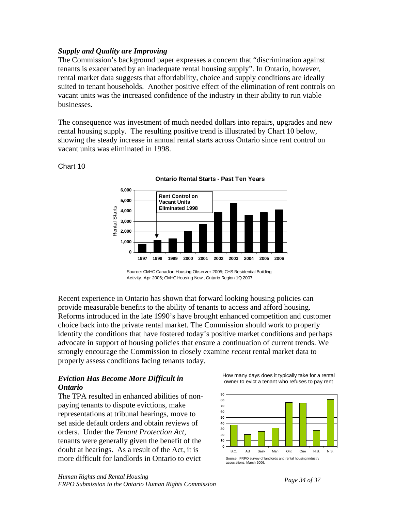#### **Supply** and Quality are Improving

The Commission's background paper expresses a concern that "discrimination against suited to tenant households. Another positive effect of the elimination of rent controls on tenants is exacerbated by an inadequate rental housing supply". In Ontario, however, rental market data suggests that affordability, choice and supply conditions are ideally vacant units was the increased confidence of the industry in their ability to run viable businesses.

The consequence was investment of much needed dollars into repairs, upgrades and new showing the steady increase in annual rental starts across Ontario since rent control on rental housing supply. The resulting positive trend is illustrated by Chart 10 below, vacant units was eliminated in 1998.

#### Chart 10

**Ontario Rental Starts - Past Ten Years**



Source: CMHC Canadian Housing Observer 2005; CHS Residential Building Activity, Apr 2006; CMHC Housing Now , Ontario Region 1Q 2007

Recent experience in Ontario has shown that forward looking housing policies can Reforms introduced in the late 1990's have brought enhanced competition and customer identify the conditions that have fostered today's positive market conditions and perhaps provide measurable benefits to the ability of tenants to access and afford housing. choice back into the private rental market. The Commission should work to properly advocate in support of housing policies that ensure a continuation of current trends. We strongly encourage the Commission to closely examine *recent* rental market data to properly assess conditions facing tenants today.

#### *Eviction Has Become More Difficult in Ontario*

The TPA resulted in enhanced abilities of nonrepresentations at tribunal hearings, move to tenants were generally given the benefit of the paying tenants to dispute evictions, make set aside default orders and obtain reviews of orders. Under the *Tenant Protection Act*, doubt at hearings. As a result of the Act, it is more difficult for landlords in Ontario to evict

How many days does it typically take for a rental owner to evict a tenant who refuses to pay rent

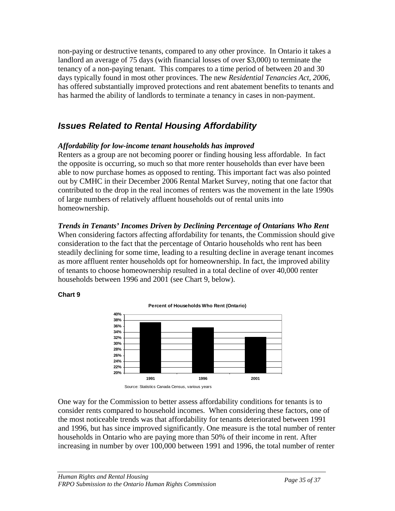non-paying or destructive tenants, compared to any other province. In Ontario it t akes a landlord an average of 75 days (with financial losses of over \$3,000) to terminate the tenancy of a non-paying tenant. This compares to a time period of between 20 and 30 days typically found in most other provinces. The new *Residential Tenancies Act, 2006*, has offered substantially improved protections and rent abatement benefits to tenants and has harmed the ability of landlords to terminate a tenancy in cases in non-payment.

## *Issues Related to Rental Housing Affordability*

### *ffordability for low-income tenant households has improved A*

Renters as a group are not becoming poorer or finding housing less affordable. In fact the opposite is occurring, so much so that more renter households than ever have been able to now purchase homes as opposed to renting. This important fact was also pointed out by CMHC in their December 2006 Rental Market Survey, noting that one factor that contributed to the drop in the real incomes of renters was the movement in the late 1990s of large numbers of relatively affluent households out of rental units into homeownership.

### *rends in Tenants' Incomes Driven by Declining Percentage of Ontarians Who Rent T*

steadily declining for some time, leading to a resulting decline in average tenant incomes When considering factors affecting affordability for tenants, the Commission should give consideration to the fact that the percentage of Ontario households who rent has been as more affluent renter households opt for homeownership. In fact, the improved ability of tenants to choose homeownership resulted in a total decline of over 40,000 renter households between 1996 and 2001 (see Chart 9, below).

#### **Chart 9**



One way for the Commission to better assess affordability conditions for tenants is to consider rents compared to household incomes. When considering these factors, one of and 1996, but has since improved significantly. One measure is the total number of renter increasing in number by over 100,000 between 1991 and 1996, the total number of renter the most noticeable trends was that affordability for tenants deteriorated between 1991 households in Ontario who are paying more than 50% of their income in rent. After